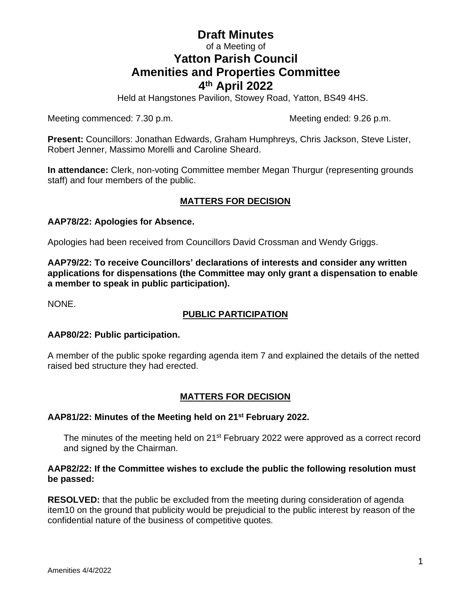# **Draft Minutes** of a Meeting of **Yatton Parish Council Amenities and Properties Committee 4 th April 2022**

Held at Hangstones Pavilion, Stowey Road, Yatton, BS49 4HS.

Meeting commenced: 7.30 p.m. Meeting ended: 9.26 p.m.

**Present:** Councillors: Jonathan Edwards, Graham Humphreys, Chris Jackson, Steve Lister, Robert Jenner, Massimo Morelli and Caroline Sheard.

**In attendance:** Clerk, non-voting Committee member Megan Thurgur (representing grounds staff) and four members of the public.

# **MATTERS FOR DECISION**

## **AAP78/22: Apologies for Absence.**

Apologies had been received from Councillors David Crossman and Wendy Griggs.

**AAP79/22: To receive Councillors' declarations of interests and consider any written applications for dispensations (the Committee may only grant a dispensation to enable a member to speak in public participation).**

NONE.

# **PUBLIC PARTICIPATION**

#### **AAP80/22: Public participation.**

A member of the public spoke regarding agenda item 7 and explained the details of the netted raised bed structure they had erected.

# **MATTERS FOR DECISION**

#### **AAP81/22: Minutes of the Meeting held on 21st February 2022.**

The minutes of the meeting held on 21<sup>st</sup> February 2022 were approved as a correct record and signed by the Chairman.

## **AAP82/22: If the Committee wishes to exclude the public the following resolution must be passed:**

**RESOLVED:** that the public be excluded from the meeting during consideration of agenda item10 on the ground that publicity would be prejudicial to the public interest by reason of the confidential nature of the business of competitive quotes.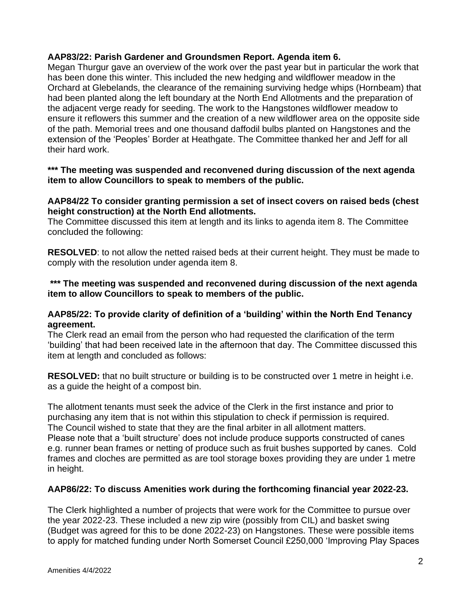### **AAP83/22: Parish Gardener and Groundsmen Report. Agenda item 6.**

Megan Thurgur gave an overview of the work over the past year but in particular the work that has been done this winter. This included the new hedging and wildflower meadow in the Orchard at Glebelands, the clearance of the remaining surviving hedge whips (Hornbeam) that had been planted along the left boundary at the North End Allotments and the preparation of the adjacent verge ready for seeding. The work to the Hangstones wildflower meadow to ensure it reflowers this summer and the creation of a new wildflower area on the opposite side of the path. Memorial trees and one thousand daffodil bulbs planted on Hangstones and the extension of the 'Peoples' Border at Heathgate. The Committee thanked her and Jeff for all their hard work.

## **\*\*\* The meeting was suspended and reconvened during discussion of the next agenda item to allow Councillors to speak to members of the public.**

#### **AAP84/22 To consider granting permission a set of insect covers on raised beds (chest height construction) at the North End allotments.**

The Committee discussed this item at length and its links to agenda item 8. The Committee concluded the following:

**RESOLVED**: to not allow the netted raised beds at their current height. They must be made to comply with the resolution under agenda item 8.

#### **\*\*\* The meeting was suspended and reconvened during discussion of the next agenda item to allow Councillors to speak to members of the public.**

#### **AAP85/22: To provide clarity of definition of a 'building' within the North End Tenancy agreement.**

The Clerk read an email from the person who had requested the clarification of the term 'building' that had been received late in the afternoon that day. The Committee discussed this item at length and concluded as follows:

**RESOLVED:** that no built structure or building is to be constructed over 1 metre in height i.e. as a guide the height of a compost bin.

The allotment tenants must seek the advice of the Clerk in the first instance and prior to purchasing any item that is not within this stipulation to check if permission is required. The Council wished to state that they are the final arbiter in all allotment matters. Please note that a 'built structure' does not include produce supports constructed of canes e.g. runner bean frames or netting of produce such as fruit bushes supported by canes. Cold frames and cloches are permitted as are tool storage boxes providing they are under 1 metre in height.

# **AAP86/22: To discuss Amenities work during the forthcoming financial year 2022-23.**

The Clerk highlighted a number of projects that were work for the Committee to pursue over the year 2022-23. These included a new zip wire (possibly from CIL) and basket swing (Budget was agreed for this to be done 2022-23) on Hangstones. These were possible items to apply for matched funding under North Somerset Council £250,000 'Improving Play Spaces